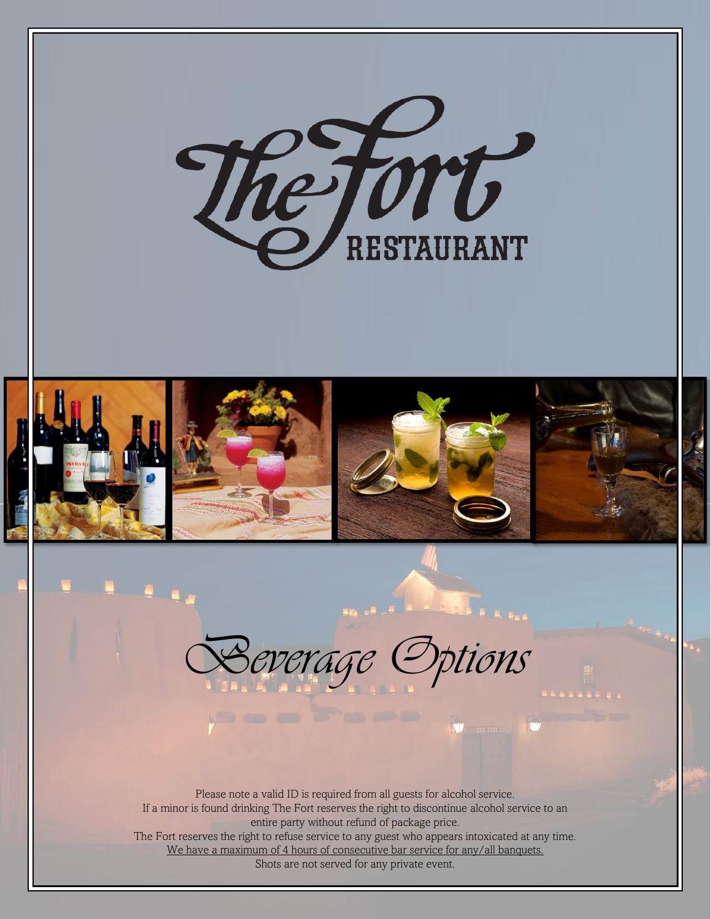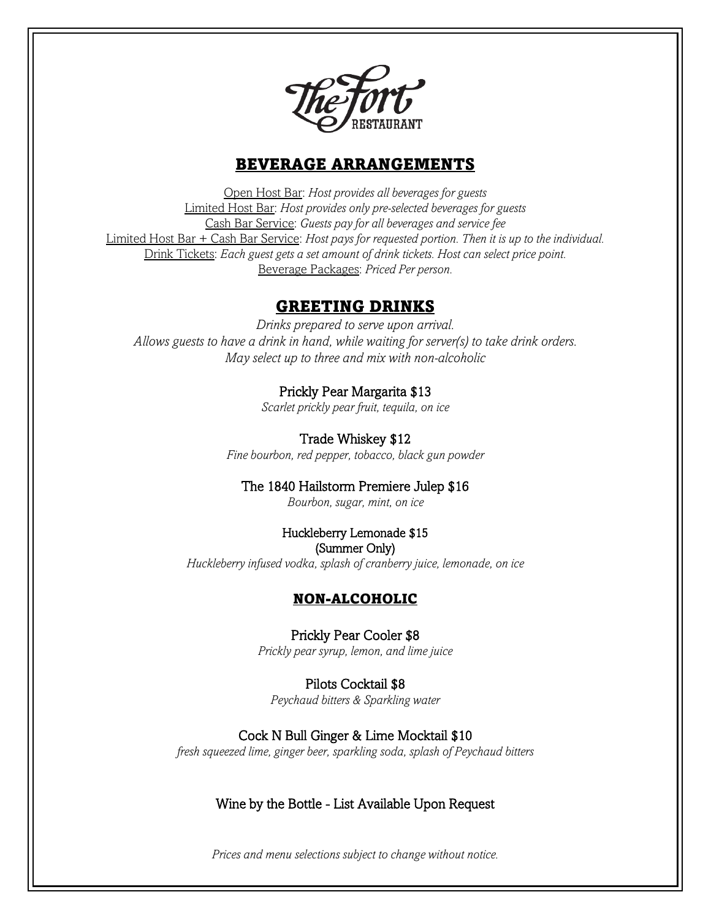

## BEVERAGE ARRANGEMENTS

Open Host Bar: *Host provides all beverages for guests* Limited Host Bar: *Host provides only pre-selected beverages for guests* Cash Bar Service: *Guests pay for all beverages and service fee* Limited Host Bar + Cash Bar Service: *Host pays for requested portion. Then it is up to the individual.* Drink Tickets: *Each guest gets a set amount of drink tickets. Host can select price point.* Beverage Packages: *Priced Per person.*

## GREETING DRINKS

*Drinks prepared to serve upon arrival. Allows guests to have a drink in hand, while waiting for server(s) to take drink orders. May select up to three and mix with non-alcoholic*

## Prickly Pear Margarita \$13

*Scarlet prickly pear fruit, tequila, on ice*

Trade Whiskey \$12 *Fine bourbon, red pepper, tobacco, black gun powder*

## The 1840 Hailstorm Premiere Julep \$16

*Bourbon, sugar, mint, on ice*

# Huckleberry Lemonade \$15

(Summer Only) *Huckleberry infused vodka, splash of cranberry juice, lemonade, on ice*

## NON-ALCOHOLIC

Prickly Pear Cooler \$8 *Prickly pear syrup, lemon, and lime juice*

Pilots Cocktail \$8 *Peychaud bitters & Sparkling water*

Cock N Bull Ginger & Lime Mocktail \$10 *fresh squeezed lime, ginger beer, sparkling soda, splash of Peychaud bitters*

## Wine by the Bottle - List Available Upon Request

*Prices and menu selections subject to change without notice.*